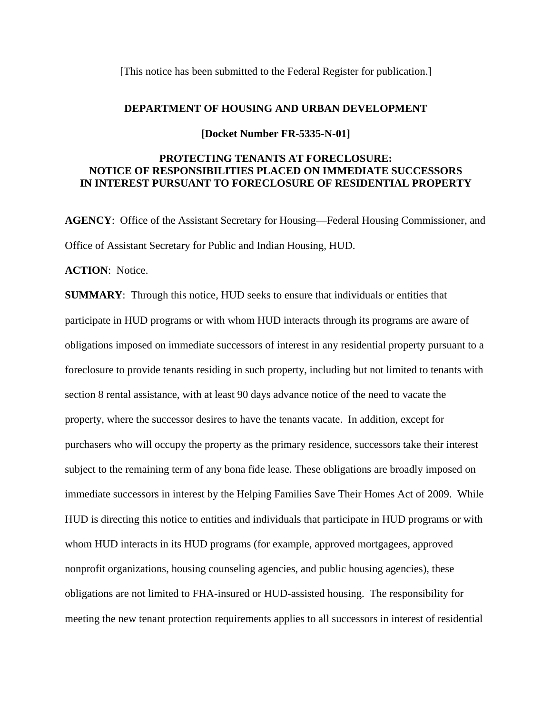[This notice has been submitted to the Federal Register for publication.]

## **DEPARTMENT OF HOUSING AND URBAN DEVELOPMENT**

**[Docket Number FR-5335-N-01]** 

## **PROTECTING TENANTS AT FORECLOSURE: NOTICE OF RESPONSIBILITIES PLACED ON IMMEDIATE SUCCESSORS IN INTEREST PURSUANT TO FORECLOSURE OF RESIDENTIAL PROPERTY**

**AGENCY**: Office of the Assistant Secretary for Housing—Federal Housing Commissioner, and Office of Assistant Secretary for Public and Indian Housing, HUD.

**ACTION**: Notice.

**SUMMARY**: Through this notice, HUD seeks to ensure that individuals or entities that participate in HUD programs or with whom HUD interacts through its programs are aware of obligations imposed on immediate successors of interest in any residential property pursuant to a foreclosure to provide tenants residing in such property, including but not limited to tenants with section 8 rental assistance, with at least 90 days advance notice of the need to vacate the property, where the successor desires to have the tenants vacate. In addition, except for purchasers who will occupy the property as the primary residence, successors take their interest subject to the remaining term of any bona fide lease. These obligations are broadly imposed on immediate successors in interest by the Helping Families Save Their Homes Act of 2009. While HUD is directing this notice to entities and individuals that participate in HUD programs or with whom HUD interacts in its HUD programs (for example, approved mortgagees, approved nonprofit organizations, housing counseling agencies, and public housing agencies), these obligations are not limited to FHA-insured or HUD-assisted housing. The responsibility for meeting the new tenant protection requirements applies to all successors in interest of residential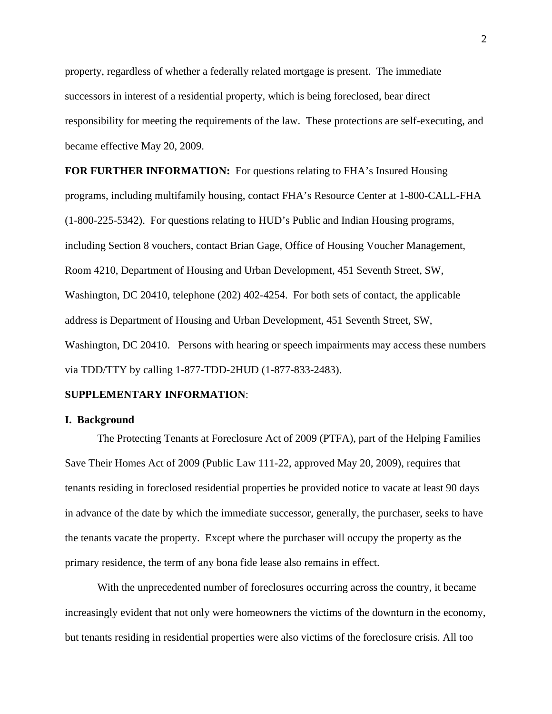property, regardless of whether a federally related mortgage is present. The immediate successors in interest of a residential property, which is being foreclosed, bear direct responsibility for meeting the requirements of the law. These protections are self-executing, and became effective May 20, 2009.

**FOR FURTHER INFORMATION:** For questions relating to FHA's Insured Housing programs, including multifamily housing, contact FHA's Resource Center at 1-800-CALL-FHA (1-800-225-5342). For questions relating to HUD's Public and Indian Housing programs, including Section 8 vouchers, contact Brian Gage, Office of Housing Voucher Management, Room 4210, Department of Housing and Urban Development, 451 Seventh Street, SW, Washington, DC 20410, telephone (202) 402-4254. For both sets of contact, the applicable address is Department of Housing and Urban Development, 451 Seventh Street, SW, Washington, DC 20410. Persons with hearing or speech impairments may access these numbers via TDD/TTY by calling 1-877-TDD-2HUD (1-877-833-2483).

## **SUPPLEMENTARY INFORMATION**:

## **I. Background**

 The Protecting Tenants at Foreclosure Act of 2009 (PTFA), part of the Helping Families Save Their Homes Act of 2009 (Public Law 111-22, approved May 20, 2009), requires that tenants residing in foreclosed residential properties be provided notice to vacate at least 90 days in advance of the date by which the immediate successor, generally, the purchaser, seeks to have the tenants vacate the property. Except where the purchaser will occupy the property as the primary residence, the term of any bona fide lease also remains in effect.

 With the unprecedented number of foreclosures occurring across the country, it became increasingly evident that not only were homeowners the victims of the downturn in the economy, but tenants residing in residential properties were also victims of the foreclosure crisis. All too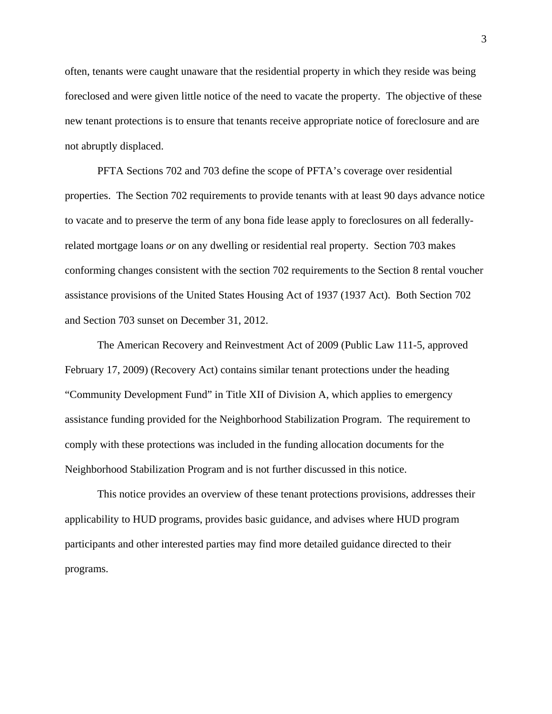often, tenants were caught unaware that the residential property in which they reside was being foreclosed and were given little notice of the need to vacate the property. The objective of these new tenant protections is to ensure that tenants receive appropriate notice of foreclosure and are not abruptly displaced.

 PFTA Sections 702 and 703 define the scope of PFTA's coverage over residential properties. The Section 702 requirements to provide tenants with at least 90 days advance notice to vacate and to preserve the term of any bona fide lease apply to foreclosures on all federallyrelated mortgage loans *or* on any dwelling or residential real property. Section 703 makes conforming changes consistent with the section 702 requirements to the Section 8 rental voucher assistance provisions of the United States Housing Act of 1937 (1937 Act). Both Section 702 and Section 703 sunset on December 31, 2012.

The American Recovery and Reinvestment Act of 2009 (Public Law 111-5, approved February 17, 2009) (Recovery Act) contains similar tenant protections under the heading "Community Development Fund" in Title XII of Division A, which applies to emergency assistance funding provided for the Neighborhood Stabilization Program. The requirement to comply with these protections was included in the funding allocation documents for the Neighborhood Stabilization Program and is not further discussed in this notice.

This notice provides an overview of these tenant protections provisions, addresses their applicability to HUD programs, provides basic guidance, and advises where HUD program participants and other interested parties may find more detailed guidance directed to their programs.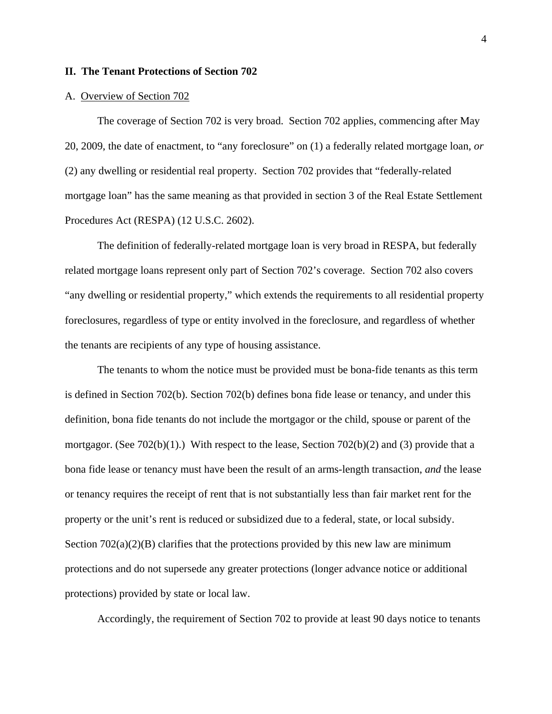## **II. The Tenant Protections of Section 702**

#### A. Overview of Section 702

 The coverage of Section 702 is very broad. Section 702 applies, commencing after May 20, 2009, the date of enactment, to "any foreclosure" on (1) a federally related mortgage loan, *or* (2) any dwelling or residential real property. Section 702 provides that "federally-related mortgage loan" has the same meaning as that provided in section 3 of the Real Estate Settlement Procedures Act (RESPA) (12 U.S.C. 2602).

 The definition of federally-related mortgage loan is very broad in RESPA, but federally related mortgage loans represent only part of Section 702's coverage. Section 702 also covers "any dwelling or residential property," which extends the requirements to all residential property foreclosures, regardless of type or entity involved in the foreclosure, and regardless of whether the tenants are recipients of any type of housing assistance.

The tenants to whom the notice must be provided must be bona-fide tenants as this term is defined in Section 702(b). Section 702(b) defines bona fide lease or tenancy, and under this definition, bona fide tenants do not include the mortgagor or the child, spouse or parent of the mortgagor. (See 702(b)(1).) With respect to the lease, Section 702(b)(2) and (3) provide that a bona fide lease or tenancy must have been the result of an arms-length transaction, *and* the lease or tenancy requires the receipt of rent that is not substantially less than fair market rent for the property or the unit's rent is reduced or subsidized due to a federal, state, or local subsidy. Section  $702(a)(2)(B)$  clarifies that the protections provided by this new law are minimum protections and do not supersede any greater protections (longer advance notice or additional protections) provided by state or local law.

Accordingly, the requirement of Section 702 to provide at least 90 days notice to tenants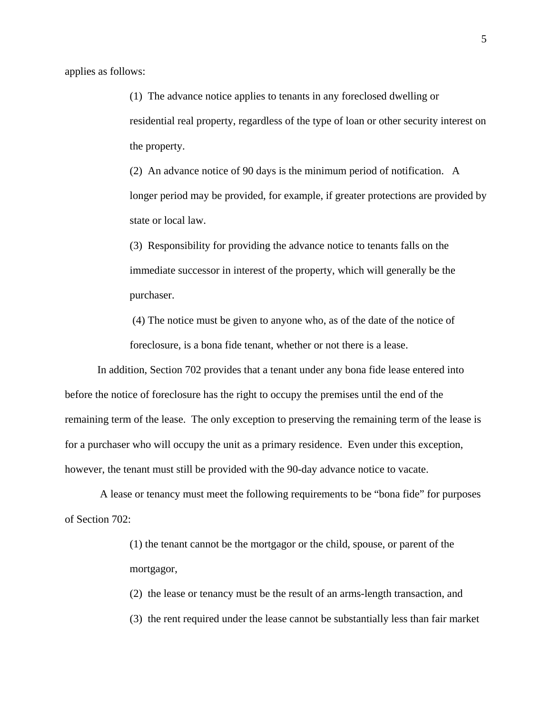applies as follows:

(1) The advance notice applies to tenants in any foreclosed dwelling or residential real property, regardless of the type of loan or other security interest on the property.

(2) An advance notice of 90 days is the minimum period of notification. A longer period may be provided, for example, if greater protections are provided by state or local law.

(3) Responsibility for providing the advance notice to tenants falls on the immediate successor in interest of the property, which will generally be the purchaser.

 (4) The notice must be given to anyone who, as of the date of the notice of foreclosure, is a bona fide tenant, whether or not there is a lease.

 In addition, Section 702 provides that a tenant under any bona fide lease entered into before the notice of foreclosure has the right to occupy the premises until the end of the remaining term of the lease. The only exception to preserving the remaining term of the lease is for a purchaser who will occupy the unit as a primary residence. Even under this exception, however, the tenant must still be provided with the 90-day advance notice to vacate.

 A lease or tenancy must meet the following requirements to be "bona fide" for purposes of Section 702:

> (1) the tenant cannot be the mortgagor or the child, spouse, or parent of the mortgagor,

(2) the lease or tenancy must be the result of an arms-length transaction, and (3) the rent required under the lease cannot be substantially less than fair market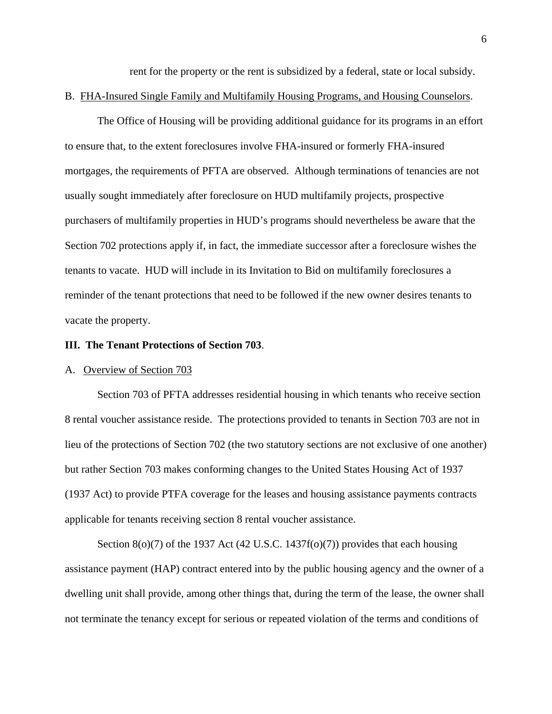rent for the property or the rent is subsidized by a federal, state or local subsidy.

#### B. FHA-Insured Single Family and Multifamily Housing Programs, and Housing Counselors.

 The Office of Housing will be providing additional guidance for its programs in an effort to ensure that, to the extent foreclosures involve FHA-insured or formerly FHA-insured mortgages, the requirements of PFTA are observed. Although terminations of tenancies are not usually sought immediately after foreclosure on HUD multifamily projects, prospective purchasers of multifamily properties in HUD's programs should nevertheless be aware that the Section 702 protections apply if, in fact, the immediate successor after a foreclosure wishes the tenants to vacate. HUD will include in its Invitation to Bid on multifamily foreclosures a reminder of the tenant protections that need to be followed if the new owner desires tenants to vacate the property.

### **III. The Tenant Protections of Section 703**.

#### A. Overview of Section 703

 Section 703 of PFTA addresses residential housing in which tenants who receive section 8 rental voucher assistance reside. The protections provided to tenants in Section 703 are not in lieu of the protections of Section 702 (the two statutory sections are not exclusive of one another) but rather Section 703 makes conforming changes to the United States Housing Act of 1937 (1937 Act) to provide PTFA coverage for the leases and housing assistance payments contracts applicable for tenants receiving section 8 rental voucher assistance.

Section  $8(0)(7)$  of the 1937 Act (42 U.S.C. 1437f(o)(7)) provides that each housing assistance payment (HAP) contract entered into by the public housing agency and the owner of a dwelling unit shall provide, among other things that, during the term of the lease, the owner shall not terminate the tenancy except for serious or repeated violation of the terms and conditions of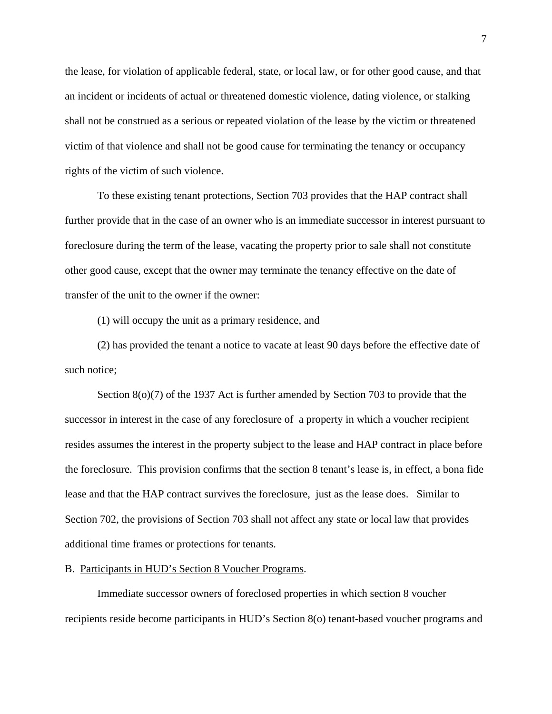the lease, for violation of applicable federal, state, or local law, or for other good cause, and that an incident or incidents of actual or threatened domestic violence, dating violence, or stalking shall not be construed as a serious or repeated violation of the lease by the victim or threatened victim of that violence and shall not be good cause for terminating the tenancy or occupancy rights of the victim of such violence.

To these existing tenant protections, Section 703 provides that the HAP contract shall further provide that in the case of an owner who is an immediate successor in interest pursuant to foreclosure during the term of the lease, vacating the property prior to sale shall not constitute other good cause, except that the owner may terminate the tenancy effective on the date of transfer of the unit to the owner if the owner:

(1) will occupy the unit as a primary residence, and

(2) has provided the tenant a notice to vacate at least 90 days before the effective date of such notice;

Section 8(o)(7) of the 1937 Act is further amended by Section 703 to provide that the successor in interest in the case of any foreclosure of a property in which a voucher recipient resides assumes the interest in the property subject to the lease and HAP contract in place before the foreclosure. This provision confirms that the section 8 tenant's lease is, in effect, a bona fide lease and that the HAP contract survives the foreclosure, just as the lease does. Similar to Section 702, the provisions of Section 703 shall not affect any state or local law that provides additional time frames or protections for tenants.

## B. Participants in HUD's Section 8 Voucher Programs.

Immediate successor owners of foreclosed properties in which section 8 voucher recipients reside become participants in HUD's Section 8(o) tenant-based voucher programs and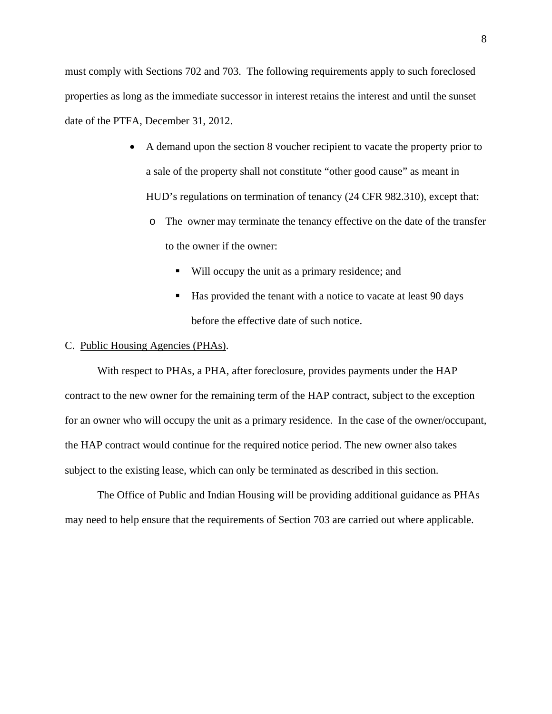must comply with Sections 702 and 703. The following requirements apply to such foreclosed properties as long as the immediate successor in interest retains the interest and until the sunset date of the PTFA, December 31, 2012.

- A demand upon the section 8 voucher recipient to vacate the property prior to a sale of the property shall not constitute "other good cause" as meant in HUD's regulations on termination of tenancy (24 CFR 982.310), except that:
	- o The owner may terminate the tenancy effective on the date of the transfer to the owner if the owner:
		- Will occupy the unit as a primary residence; and
		- Has provided the tenant with a notice to vacate at least 90 days before the effective date of such notice.

## C. Public Housing Agencies (PHAs).

With respect to PHAs, a PHA, after foreclosure, provides payments under the HAP contract to the new owner for the remaining term of the HAP contract, subject to the exception for an owner who will occupy the unit as a primary residence. In the case of the owner/occupant, the HAP contract would continue for the required notice period. The new owner also takes subject to the existing lease, which can only be terminated as described in this section.

The Office of Public and Indian Housing will be providing additional guidance as PHAs may need to help ensure that the requirements of Section 703 are carried out where applicable.